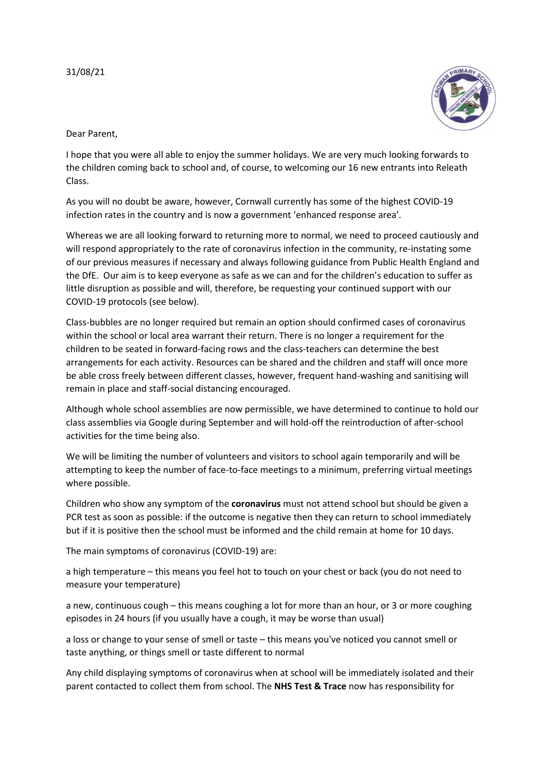

Dear Parent,

I hope that you were all able to enjoy the summer holidays. We are very much looking forwards to the children coming back to school and, of course, to welcoming our 16 new entrants into Releath Class.

As you will no doubt be aware, however, Cornwall currently has some of the highest COVID-19 infection rates in the country and is now a government 'enhanced response area'.

Whereas we are all looking forward to returning more to normal, we need to proceed cautiously and will respond appropriately to the rate of coronavirus infection in the community, re-instating some of our previous measures if necessary and always following guidance from Public Health England and the DfE. Our aim is to keep everyone as safe as we can and for the children's education to suffer as little disruption as possible and will, therefore, be requesting your continued support with our COVID-19 protocols (see below).

Class-bubbles are no longer required but remain an option should confirmed cases of coronavirus within the school or local area warrant their return. There is no longer a requirement for the children to be seated in forward-facing rows and the class-teachers can determine the best arrangements for each activity. Resources can be shared and the children and staff will once more be able cross freely between different classes, however, frequent hand-washing and sanitising will remain in place and staff-social distancing encouraged.

Although whole school assemblies are now permissible, we have determined to continue to hold our class assemblies via Google during September and will hold-off the reintroduction of after-school activities for the time being also.

We will be limiting the number of volunteers and visitors to school again temporarily and will be attempting to keep the number of face-to-face meetings to a minimum, preferring virtual meetings where possible.

Children who show any symptom of the **coronavirus** must not attend school but should be given a PCR test as soon as possible: if the outcome is negative then they can return to school immediately but if it is positive then the school must be informed and the child remain at home for 10 days.

The main symptoms of coronavirus (COVID-19) are:

a high temperature – this means you feel hot to touch on your chest or back (you do not need to measure your temperature)

a new, continuous cough – this means coughing a lot for more than an hour, or 3 or more coughing episodes in 24 hours (if you usually have a cough, it may be worse than usual)

a loss or change to your sense of smell or taste – this means you've noticed you cannot smell or taste anything, or things smell or taste different to normal

Any child displaying symptoms of coronavirus when at school will be immediately isolated and their parent contacted to collect them from school. The **NHS Test & Trace** now has responsibility for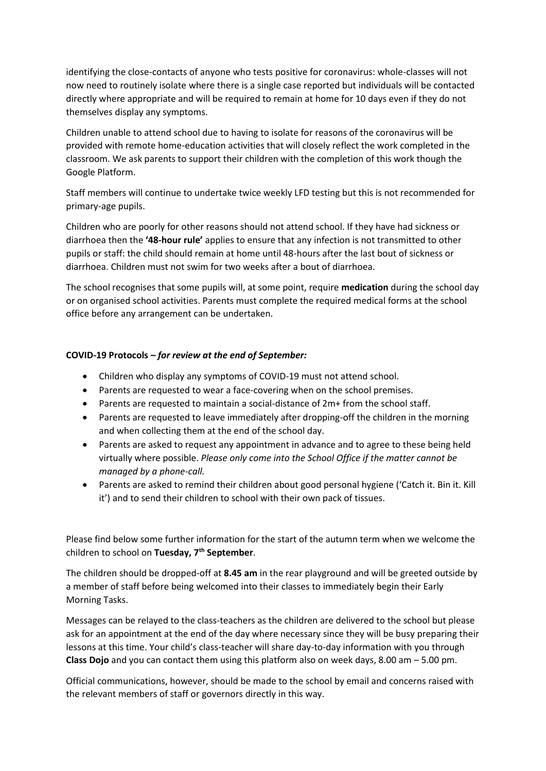identifying the close-contacts of anyone who tests positive for coronavirus: whole-classes will not now need to routinely isolate where there is a single case reported but individuals will be contacted directly where appropriate and will be required to remain at home for 10 days even if they do not themselves display any symptoms.

Children unable to attend school due to having to isolate for reasons of the coronavirus will be provided with remote home-education activities that will closely reflect the work completed in the classroom. We ask parents to support their children with the completion of this work though the Google Platform.

Staff members will continue to undertake twice weekly LFD testing but this is not recommended for primary-age pupils.

Children who are poorly for other reasons should not attend school. If they have had sickness or diarrhoea then the **'48-hour rule'** applies to ensure that any infection is not transmitted to other pupils or staff: the child should remain at home until 48-hours after the last bout of sickness or diarrhoea. Children must not swim for two weeks after a bout of diarrhoea.

The school recognises that some pupils will, at some point, require **medication** during the school day or on organised school activities. Parents must complete the required medical forms at the school office before any arrangement can be undertaken.

### **COVID-19 Protocols –** *for review at the end of September:*

- Children who display any symptoms of COVID-19 must not attend school.
- Parents are requested to wear a face-covering when on the school premises.
- Parents are requested to maintain a social-distance of 2m+ from the school staff.
- Parents are requested to leave immediately after dropping-off the children in the morning and when collecting them at the end of the school day.
- Parents are asked to request any appointment in advance and to agree to these being held virtually where possible. *Please only come into the School Office if the matter cannot be managed by a phone-call.*
- Parents are asked to remind their children about good personal hygiene ('Catch it. Bin it. Kill it') and to send their children to school with their own pack of tissues.

Please find below some further information for the start of the autumn term when we welcome the children to school on **Tuesday, 7th September**.

The children should be dropped-off at **8.45 am** in the rear playground and will be greeted outside by a member of staff before being welcomed into their classes to immediately begin their Early Morning Tasks.

Messages can be relayed to the class-teachers as the children are delivered to the school but please ask for an appointment at the end of the day where necessary since they will be busy preparing their lessons at this time. Your child's class-teacher will share day-to-day information with you through **Class Dojo** and you can contact them using this platform also on week days, 8.00 am – 5.00 pm.

Official communications, however, should be made to the school by email and concerns raised with the relevant members of staff or governors directly in this way.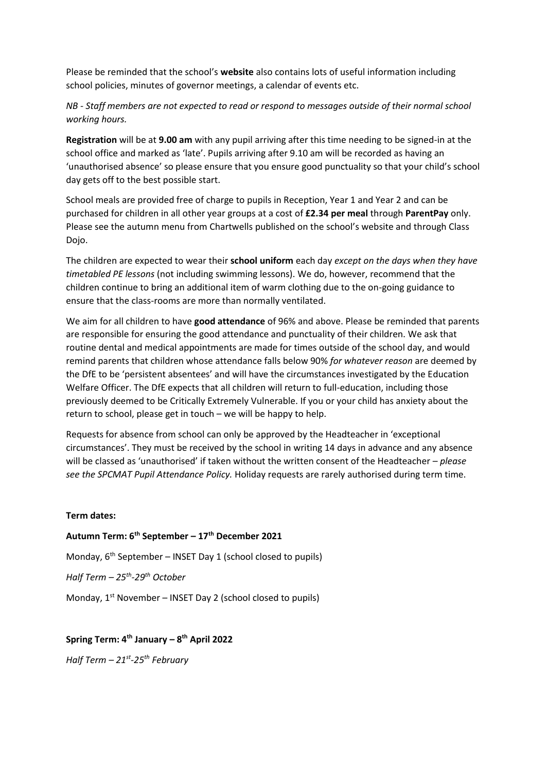Please be reminded that the school's **website** also contains lots of useful information including school policies, minutes of governor meetings, a calendar of events etc.

# *NB - Staff members are not expected to read or respond to messages outside of their normal school working hours.*

**Registration** will be at **9.00 am** with any pupil arriving after this time needing to be signed-in at the school office and marked as 'late'. Pupils arriving after 9.10 am will be recorded as having an 'unauthorised absence' so please ensure that you ensure good punctuality so that your child's school day gets off to the best possible start.

School meals are provided free of charge to pupils in Reception, Year 1 and Year 2 and can be purchased for children in all other year groups at a cost of **£2.34 per meal** through **ParentPay** only. Please see the autumn menu from Chartwells published on the school's website and through Class Dojo.

The children are expected to wear their **school uniform** each day *except on the days when they have timetabled PE lessons* (not including swimming lessons). We do, however, recommend that the children continue to bring an additional item of warm clothing due to the on-going guidance to ensure that the class-rooms are more than normally ventilated.

We aim for all children to have **good attendance** of 96% and above. Please be reminded that parents are responsible for ensuring the good attendance and punctuality of their children. We ask that routine dental and medical appointments are made for times outside of the school day, and would remind parents that children whose attendance falls below 90% *for whatever reason* are deemed by the DfE to be 'persistent absentees' and will have the circumstances investigated by the Education Welfare Officer. The DfE expects that all children will return to full-education, including those previously deemed to be Critically Extremely Vulnerable. If you or your child has anxiety about the return to school, please get in touch – we will be happy to help.

Requests for absence from school can only be approved by the Headteacher in 'exceptional circumstances'. They must be received by the school in writing 14 days in advance and any absence will be classed as 'unauthorised' if taken without the written consent of the Headteacher – *please see the SPCMAT Pupil Attendance Policy.* Holiday requests are rarely authorised during term time.

### **Term dates:**

**Autumn Term: 6th September – 17th December 2021** Monday,  $6<sup>th</sup>$  September – INSET Day 1 (school closed to pupils) *Half Term – 25th -29th October* Monday,  $1^{st}$  November – INSET Day 2 (school closed to pupils)

## **Spring Term: 4th January – 8 th April 2022**

*Half Term – 21st -25th February*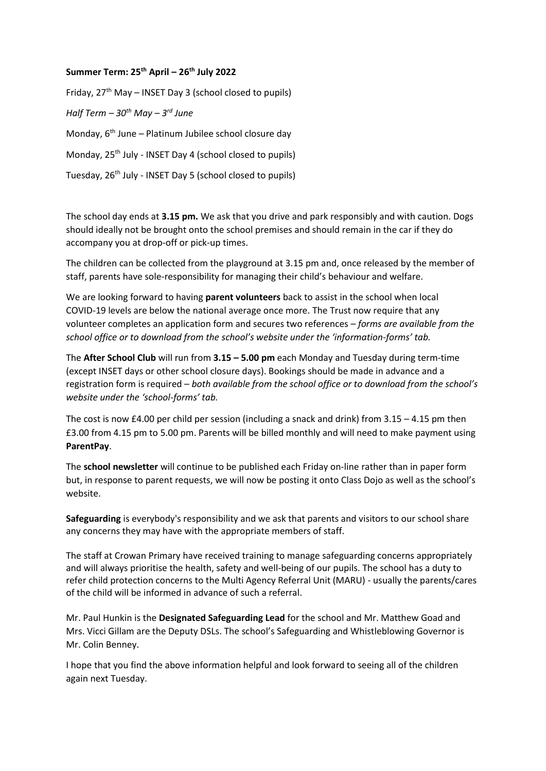#### **Summer Term: 25th April – 26th July 2022**

Friday,  $27<sup>th</sup>$  May – INSET Day 3 (school closed to pupils) *Half Term – 30th May – 3 rd June* Monday,  $6<sup>th</sup>$  June – Platinum Jubilee school closure day Monday, 25<sup>th</sup> July - INSET Day 4 (school closed to pupils) Tuesday, 26<sup>th</sup> July - INSET Day 5 (school closed to pupils)

The school day ends at **3.15 pm.** We ask that you drive and park responsibly and with caution. Dogs should ideally not be brought onto the school premises and should remain in the car if they do accompany you at drop-off or pick-up times.

The children can be collected from the playground at 3.15 pm and, once released by the member of staff, parents have sole-responsibility for managing their child's behaviour and welfare.

We are looking forward to having **parent volunteers** back to assist in the school when local COVID-19 levels are below the national average once more. The Trust now require that any volunteer completes an application form and secures two references – *forms are available from the school office or to download from the school's website under the 'information-forms' tab.* 

The **After School Club** will run from **3.15 – 5.00 pm** each Monday and Tuesday during term-time (except INSET days or other school closure days). Bookings should be made in advance and a registration form is required – *both available from the school office or to download from the school's website under the 'school-forms' tab.*

The cost is now £4.00 per child per session (including a snack and drink) from  $3.15 - 4.15$  pm then £3.00 from 4.15 pm to 5.00 pm. Parents will be billed monthly and will need to make payment using **ParentPay**.

The **school newsletter** will continue to be published each Friday on-line rather than in paper form but, in response to parent requests, we will now be posting it onto Class Dojo as well as the school's website.

**Safeguarding** is everybody's responsibility and we ask that parents and visitors to our school share any concerns they may have with the appropriate members of staff.

The staff at Crowan Primary have received training to manage safeguarding concerns appropriately and will always prioritise the health, safety and well-being of our pupils. The school has a duty to refer child protection concerns to the Multi Agency Referral Unit (MARU) - usually the parents/cares of the child will be informed in advance of such a referral.

Mr. Paul Hunkin is the **Designated Safeguarding Lead** for the school and Mr. Matthew Goad and Mrs. Vicci Gillam are the Deputy DSLs. The school's Safeguarding and Whistleblowing Governor is Mr. Colin Benney.

I hope that you find the above information helpful and look forward to seeing all of the children again next Tuesday.